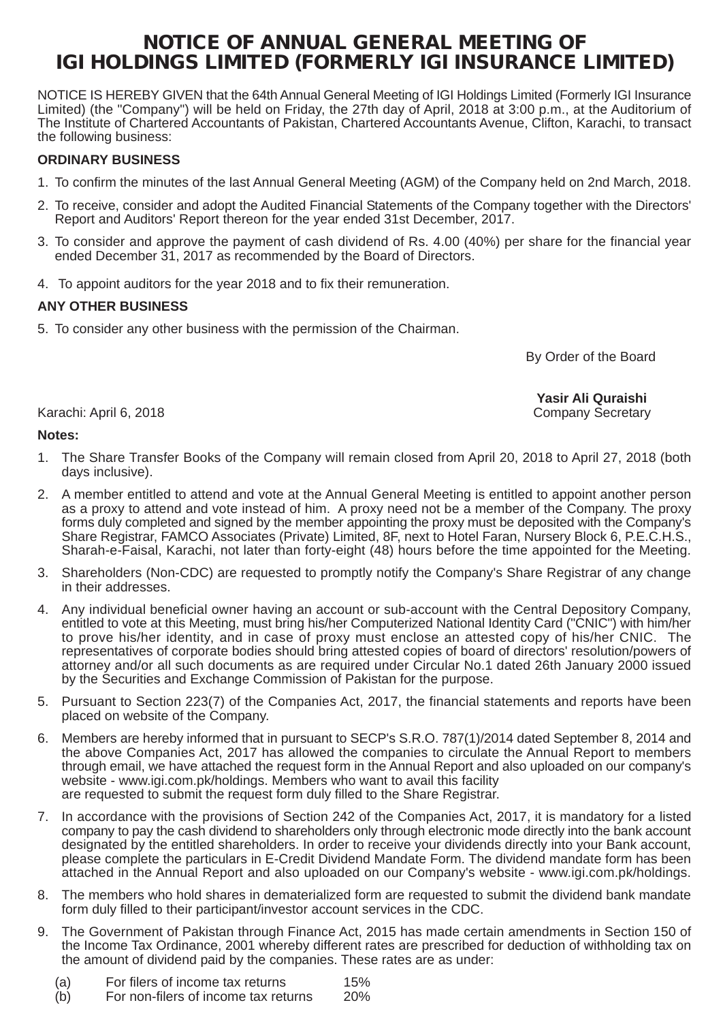# **NOTICE OF ANNUAL GENERAL MEETING OF IGI HOLDINGS LIMITED (FORMERLY IGI INSURANCE LIMITED)**

NOTICE IS HEREBY GIVEN that the 64th Annual General Meeting of IGI Holdings Limited (Formerly IGI Insurance Limited) (the "Company") will be held on Friday, the 27th day of April, 2018 at 3:00 p.m., at the Auditorium of The Institute of Chartered Accountants of Pakistan, Chartered Accountants Avenue, Clifton, Karachi, to transact the following business:

## **ORDINARY BUSINESS**

- 1. To confirm the minutes of the last Annual General Meeting (AGM) of the Company held on 2nd March, 2018.
- 2. To receive, consider and adopt the Audited Financial Statements of the Company together with the Directors' Report and Auditors' Report thereon for the year ended 31st December, 2017.
- 3. To consider and approve the payment of cash dividend of Rs. 4.00 (40%) per share for the financial year ended December 31, 2017 as recommended by the Board of Directors.
- 4. To appoint auditors for the year 2018 and to fix their remuneration.

## **ANY OTHER BUSINESS**

5. To consider any other business with the permission of the Chairman.

By Order of the Board

 **Yasir Ali Quraishi**

#### Karachi: April 6, 2018

### **Notes:**

- 1. The Share Transfer Books of the Company will remain closed from April 20, 2018 to April 27, 2018 (both days inclusive).
- 2. A member entitled to attend and vote at the Annual General Meeting is entitled to appoint another person as a proxy to attend and vote instead of him. A proxy need not be a member of the Company. The proxy forms duly completed and signed by the member appointing the proxy must be deposited with the Company's Share Registrar, FAMCO Associates (Private) Limited, 8F, next to Hotel Faran, Nursery Block 6, P.E.C.H.S., Sharah-e-Faisal, Karachi, not later than forty-eight (48) hours before the time appointed for the Meeting.
- 3. Shareholders (Non-CDC) are requested to promptly notify the Company's Share Registrar of any change in their addresses.
- 4. Any individual beneficial owner having an account or sub-account with the Central Depository Company, entitled to vote at this Meeting, must bring his/her Computerized National Identity Card ("CNIC") with him/her to prove his/her identity, and in case of proxy must enclose an attested copy of his/her CNIC. The representatives of corporate bodies should bring attested copies of board of directors' resolution/powers of attorney and/or all such documents as are required under Circular No.1 dated 26th January 2000 issued by the Securities and Exchange Commission of Pakistan for the purpose.
- 5. Pursuant to Section 223(7) of the Companies Act, 2017, the financial statements and reports have been placed on website of the Company.
- 6. Members are hereby informed that in pursuant to SECP's S.R.O. 787(1)/2014 dated September 8, 2014 and the above Companies Act, 2017 has allowed the companies to circulate the Annual Report to members through email, we have attached the request form in the Annual Report and also uploaded on our company's website - www.igi.com.pk/holdings. Members who want to avail this facility are requested to submit the request form duly filled to the Share Registrar.
- 7. In accordance with the provisions of Section 242 of the Companies Act, 2017, it is mandatory for a listed company to pay the cash dividend to shareholders only through electronic mode directly into the bank account designated by the entitled shareholders. In order to receive your dividends directly into your Bank account, please complete the particulars in E-Credit Dividend Mandate Form. The dividend mandate form has been attached in the Annual Report and also uploaded on our Company's website - www.igi.com.pk/holdings.
- 8. The members who hold shares in dematerialized form are requested to submit the dividend bank mandate form duly filled to their participant/investor account services in the CDC.
- 9. The Government of Pakistan through Finance Act, 2015 has made certain amendments in Section 150 of the Income Tax Ordinance, 2001 whereby different rates are prescribed for deduction of withholding tax on the amount of dividend paid by the companies. These rates are as under:
	- (a) For filers of income tax returns 15%<br>(b) For non-filers of income tax returns 20%
	- For non-filers of income tax returns